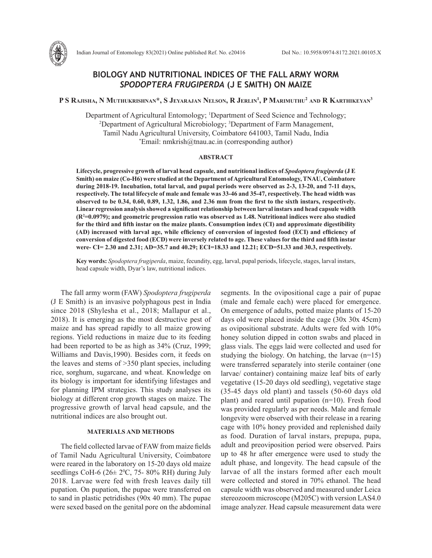

# **BIOLOGY AND NUTRITIONAL INDICES OF THE FALL ARMY WORM**  *SPODOPTERA FRUGIPERDA* **(J E SMITH) ON MAIZE**

# $\mathbf{P}\,\mathbf{S}\,\mathbf{R}$ ajisha, N Muthukrishnan\*, S Jeyarajan Nelson, R Jerlin<sup>1</sup>, P Marimuthu<sup>2</sup> and R Karthikeyan<sup>3</sup>

Department of Agricultural Entomology; <sup>1</sup>Department of Seed Science and Technology; artment of Agricultural Entomology; <sup>1</sup>Department of Seed Science and Technology; <sup>2</sup>Department of Agricultural Microbiology; <sup>3</sup>Department of Farm Management, Tamil Nadu Agricultural University, Coimbatore 641003, Tamil Nadu, India \*  $E$ mail: nmkrish@tnau.ac.in (corresponding author)

#### **ABSTRACT**

**Lifecycle, progressive growth of larval head capsule, and nutritional indices of** *Spodoptera frugiperda* **(J E Smith) on maize (Co-H6) were studied at the Department of Agricultural Entomology, TNAU, Coimbatore during 2018-19. Incubation, total larval, and pupal periods were observed as 2-3, 13-20, and 7-11 days, respectively. The total lifecycle of male and female was 33-46 and 35-47, respectively. The head width was observed to be 0.34, 0.60, 0.89, 1.32, 1.86, and 2.36 mm from the first to the sixth instars, respectively. Linear regression analysis showed a significant relationship between larval instars and head capsule width (R2 =0.0979); and geometric progression ratio was observed as 1.48. Nutritional indices were also studied for the third and fifth instar on the maize plants. Consumption index (CI) and approximate digestibility (AD) increased with larval age, while efficiency of conversion of ingested food (ECI) and efficiency of conversion of digested food (ECD) were inversely related to age. These values for the third and fifth instar were- CI= 2.30 and 2.31; AD=35.7 and 40.29; ECI=18.33 and 12.21; ECD=51.33 and 30.3, respectively.**

**Key words:** *Spodoptera frugiperda*, maize, fecundity, egg, larval, pupal periods, lifecycle, stages, larval instars, head capsule width, Dyar's law, nutritional indices.

The fall army worm (FAW) *Spodoptera frugiperda* (J E Smith) is an invasive polyphagous pest in India since 2018 (Shylesha et al., 2018; Mallapur et al., 2018). It is emerging as the most destructive pest of maize and has spread rapidly to all maize growing regions. Yield reductions in maize due to its feeding had been reported to be as high as 34% (Cruz, 1999; Williams and Davis,1990). Besides corn, it feeds on the leaves and stems of >350 plant species, including rice, sorghum, sugarcane, and wheat. Knowledge on its biology is important for identifying lifestages and for planning IPM strategies. This study analyses its biology at different crop growth stages on maize. The progressive growth of larval head capsule, and the nutritional indices are also brought out.

# **MATERIALS AND METHODS**

The field collected larvae of FAW from maize fields of Tamil Nadu Agricultural University, Coimbatore were reared in the laboratory on 15-20 days old maize seedlings CoH-6 ( $26 \pm 2^{\circ}$ C, 75-80% RH) during July 2018. Larvae were fed with fresh leaves daily till pupation. On pupation, the pupae were transferred on to sand in plastic petridishes (90x 40 mm). The pupae were sexed based on the genital pore on the abdominal

segments. In the ovipositional cage a pair of pupae (male and female each) were placed for emergence. On emergence of adults, potted maize plants of 15-20 days old were placed inside the cage (30x 30x 45cm) as ovipositional substrate. Adults were fed with 10% honey solution dipped in cotton swabs and placed in glass vials. The eggs laid were collected and used for studying the biology. On hatching, the larvae (n=15) were transferred separately into sterile container (one larvae/ container) containing maize leaf bits of early vegetative (15-20 days old seedling), vegetative stage (35-45 days old plant) and tassels (50-60 days old plant) and reared until pupation (n=10). Fresh food was provided regularly as per needs. Male and female longevity were observed with their release in a rearing cage with 10% honey provided and replenished daily as food. Duration of larval instars, prepupa, pupa, adult and preoviposition period were observed. Pairs up to 48 hr after emergence were used to study the adult phase, and longevity. The head capsule of the larvae of all the instars formed after each moult were collected and stored in 70% ethanol. The head capsule width was observed and measured under Leica stereozoom microscope (M205C) with version LAS4.0 image analyzer. Head capsule measurement data were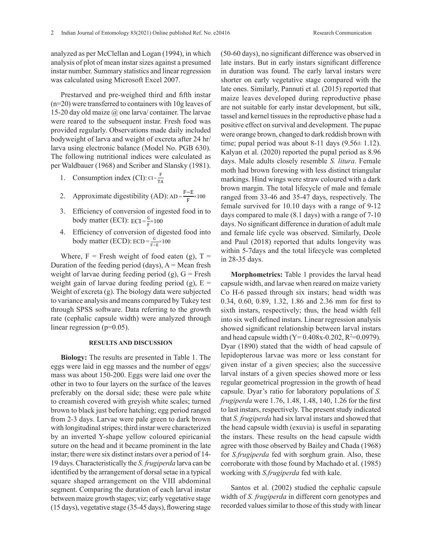analyzed as per McClellan and Logan (1994), in which analysis of plot of mean instar sizes against a presumed instar number. Summary statistics and linear regression was calculated using Microsoft Excel 2007.

Prestarved and pre-weighed third and fifth instar (n=20) were transferred to containers with 10g leaves of 15-20 day old maize  $\omega$  one larva/ container. The larvae were reared to the subsequent instar. Fresh food was provided regularly. Observations made daily included bodyweight of larva and weight of excreta after 24 hr/ larva using electronic balance (Model No. PGB 630). The following nutritional indices were calculated as per Waldbauer (1968) and Scriber and Slansky (1981).

- 1. Consumption index (CI):  $CI = \frac{F}{TA}$
- 2. Approximate digestibility (AD): imate digestibility (AD):  $AD = \frac{F-E}{F} \times 100$  ranged  $\frac{F-E}{F} \times 100$
- 3. Efficiency of conversion of ingested food in to  $\frac{\text{female survive}}{\text{days compare}}}$ body matter (ECI):  $_{ECI} = \frac{G}{F} \times 100$  days compared to body matter (ECI):  $_{ECI} = \frac{G}{F} \times 100$ 2. Approximate digestibility (AD): AD =  $3.$
- $\overrightarrow{AB}$  Efficiency of conversion of digested food into  $\frac{6}{F-E} \times 100$

Where,  $F =$  Fresh weight of food eaten (g),  $T =$ Duration of the feeding period (days),  $A = Mean$  fresh weight of larvae during feeding period  $(g)$ ,  $G =$  Fresh weight gain of larvae during feeding period (g),  $E =$ Weight of excreta (g). The biology data were subjected to variance analysis and means compared by Tukey test through SPSS software. Data referring to the growth rate (cephalic capsule width) were analyzed through linear regression (p=0.05).

## **RESULTS AND DISCUSSION**

**Biology:** The results are presented in Table 1. The eggs were laid in egg masses and the number of eggs/ mass was about 150-200. Eggs were laid one over the other in two to four layers on the surface of the leaves preferably on the dorsal side; these were pale white to creamish covered with greyish white scales; turned brown to black just before hatching; egg period ranged from 2-3 days. Larvae were pale green to dark brown with longitudinal stripes; third instar were characterized by an inverted Y-shape yellow coloured epiricanial suture on the head and it became prominent in the late instar; there were six distinct instars over a period of 14- 19 days. Characteristically the *S. frugiperda* larva can be identified by the arrangement of dorsal setae in a typical square shaped arrangement on the VIII abdominal segment. Comparing the duration of each larval instar between maize growth stages; viz; early vegetative stage (15 days), vegetative stage (35-45 days), flowering stage

(50-60 days), no significant difference was observed in late instars. But in early instars significant difference in duration was found. The early larval instars were shorter on early vegetative stage compared with the late ones. Similarly, Pannuti et al*.* (2015) reported that maize leaves developed during reproductive phase are not suitable for early instar development, but silk, tassel and kernel tissues in the reproductive phase had a positive effect on survival and development. The pupae were orange brown, changed to dark reddish brown with time; pupal period was about 8-11 days  $(9.56 \pm 1.12)$ . Kalyan et al. (2020) reported the pupal period as 8.96 days. Male adults closely resemble *S. litura*. Female moth had brown forewing with less distinct triangular markings. Hind wings were straw coloured with a dark brown margin. The total lifecycle of male and female ranged from 33-46 and 35-47 days, respectively. The female survived for 10.10 days with a range of 9-12 days compared to male  $(8.1 \text{ days})$  with a range of  $7-10$ days. No significant difference in duration of adult male and female life cycle was observed. Similarly, Deole and Paul (2018) reported that adults longevity was within 5-7days and the total lifecycle was completed in 28-35 days.

**Morphometrics:** Table 1 provides the larval head capsule width, and larvae when reared on maize variety Co H-6 passed through six instars; head width was 0.34, 0.60, 0.89, 1.32, 1.86 and 2.36 mm for first to sixth instars, respectively; thus, the head width fell into six well defined instars. Linear regression analysis showed significant relationship between larval instars and head capsule width  $(Y= 0.408x-0.202, R^2=0.0979)$ . Dyar (1890) stated that the width of head capsule of lepidopterous larvae was more or less constant for given instar of a given species; also the successive larval instars of a given species showed more or less regular geometrical progression in the growth of head capsule. Dyar's ratio for laboratory populations of *S. frugiperda* were 1.76, 1.48, 1.48, 140, 1.26 for the first to last instars, respectively. The present study indicated that *S. frugiperda* had six larval instars and showed that the head capsule width (exuvia) is useful in separating the instars. These results on the head capsule width agree with those observed by Bailey and Chada (1968) for *S.frugiperda* fed with sorghum grain. Also, these corroborate with those found by Machado et al. (1985) working with *S.frugiperda* fed with kale.

Santos et al. (2002) studied the cephalic capsule width of *S. frugiperda* in different corn genotypes and recorded values similar to those of this study with linear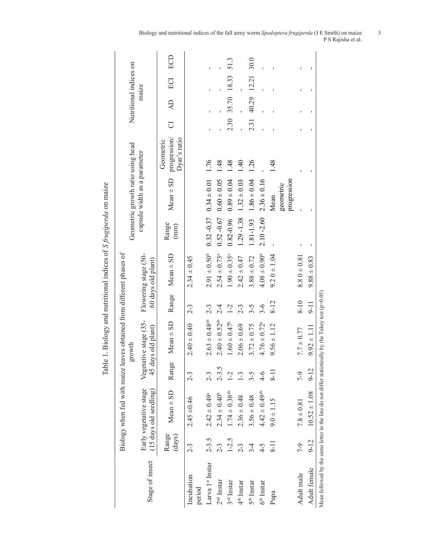|                                                                                                         |                 |                                                  |                          | ć                                           |          |                                            | r q<br>J      |                                   |                                           |      |                        |       |      |
|---------------------------------------------------------------------------------------------------------|-----------------|--------------------------------------------------|--------------------------|---------------------------------------------|----------|--------------------------------------------|---------------|-----------------------------------|-------------------------------------------|------|------------------------|-------|------|
|                                                                                                         |                 | Biology when fed with maize l                    |                          | eaves obtained from different phases of     |          |                                            |               |                                   |                                           |      |                        |       |      |
|                                                                                                         |                 |                                                  |                          | growth                                      |          |                                            |               | Geometric growth ratio using head |                                           |      | Nutritional indices on |       |      |
| Stage of insect                                                                                         |                 | Early vegetative stage<br>(15 days old seedling) |                          | Vegetative stage (35-<br>45 days old plant) |          | Flowering stage (50-<br>60 days old plant) |               | capsule width as a parameter      |                                           |      | maize                  |       |      |
|                                                                                                         | Range<br>(days) | $Mean \pm SD$                                    | Range                    | $Mean \pm SD$                               | Range    | $Mean \pm SD$                              | Range<br>(mm) | $Mean \pm SD$                     | progression/<br>Dyar's ratio<br>Geometric | J    | $\overline{A}$         | ECI   | ECD  |
| Incubation<br>period                                                                                    | $2 - 3$         | $2.45 \pm 0.46$                                  | $2 - 3$                  | $2.40 \pm 0.40$                             | $2 - 3$  | $2.34 \pm 0.45$                            |               |                                   |                                           |      |                        |       |      |
| Larva 1 <sup>st</sup> Instar                                                                            | $2 - 3.5$       | $2.42 \pm 0.49^{\circ}$                          | $2 - 3$                  | $2.63 \pm 0.48$ <sup>ab</sup>               | $2 - 3$  | $2.91 \pm 0.50^b$                          | $0.32 - 0.37$ | $0.34 \pm 0.01$                   | 1.76                                      |      |                        |       |      |
| $2nd$ Instar                                                                                            | $2 - 3$         | $2.34 \pm 0.40^{\circ}$                          | $2 - 3.5$                | $2.40 \pm 0.52$ <sup>ab</sup>               | $2 - 4$  | $2.54 \pm 0.73$ <sup>a</sup>               | $0.52 - 0.67$ | $0.60 \pm 0.05$                   | 1.48                                      |      |                        |       |      |
| 3 <sup>rd</sup> Instar                                                                                  | $1 - 2.5$       | $1.74 \pm 0.38$ <sup>ab</sup>                    | $\overline{C}$           | $1.60 \pm 0.47^b$                           | $1 - 2$  | $1.90 \pm 0.35$ <sup>a</sup>               | $0.82 - 0.96$ | $0.89 \pm 0.04$                   | 1.48                                      | 2.30 | 35.70 18.33            |       | 51.3 |
| $4th$ Instar                                                                                            | $2 - 3$         | $2.36 \pm 0.48$                                  | $\mathcal{L}$            | $2.06 \pm 0.69$                             | $2 - 3$  | $2.42 \pm 0.47$                            | $1.29 - 1.38$ | $1.32 \pm 0.03$                   | $\frac{40}{1}$                            |      |                        |       |      |
| $5th$ Instar                                                                                            | $3 - 4$         | $3.56 \pm 0.48$                                  | $3 - 5$                  | $3.72 \pm 0.75$                             | $3 - 5$  | $3.88 \pm 0.72$                            | 1.81-1.93     | $1.86 \pm 0.04$                   | 1.26                                      | 2.31 | 40.29                  | 12.21 | 30.0 |
| $6th$ Instar                                                                                            | $4 - 5$         | $4.42 \pm 0.49$ <sup>ab</sup>                    | $4 - 6$                  | $4.76 \pm 0.72$ <sup>a</sup>                | $3 - 6$  | $4.08 \pm 0.90^{\circ}$                    | $2.10 - 2.60$ | $2.36 \pm 0.16$                   |                                           |      |                        |       |      |
| Pupa                                                                                                    | $8-11$          | $9.0 \pm 1.15$                                   | $\overline{\phantom{0}}$ | $9.56 \pm 1.12$                             | $8 - 12$ | $9.20 \pm 1.04$                            |               | Mean                              | 1.48                                      |      |                        |       |      |
|                                                                                                         |                 |                                                  |                          |                                             |          |                                            |               | progression<br>geometric          |                                           |      |                        |       |      |
| Adult male                                                                                              | 7-9             | $7.8 \pm 0.81$                                   | 7-9                      | $7.7 \pm 0.77$                              | $8 - 10$ | $8.80 \pm 0.81$                            |               |                                   |                                           |      |                        |       |      |
| Adult female                                                                                            | $9 - 12$        | $10.52 \pm 1.08$                                 | $9 - 12$                 | $9.92 \pm 1.11$                             | $9 - 11$ | $9.88 \pm 0.83$                            |               |                                   |                                           |      |                        |       |      |
| Mean followed by the same letter in the line do not differ statistically by the Tukey test ( $p=0.05$ ) |                 |                                                  |                          |                                             |          |                                            |               |                                   |                                           |      |                        |       |      |

Table 1. Biology and nutritional indices of S frugiperda on maize Table 1. Biology and nutritional indices of *S frugiperda* on maize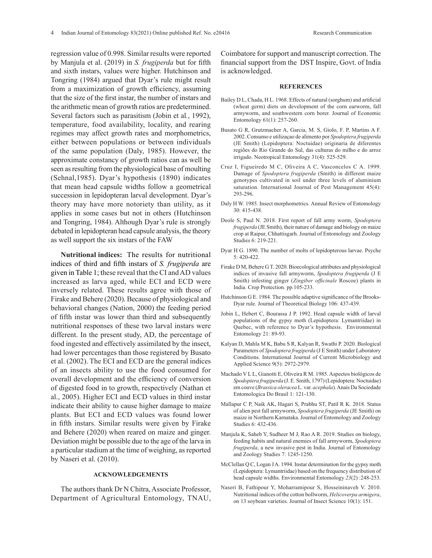regression value of 0.998. Similar results were reported by Manjula et al. (2019) in *S. frugiperda* but for fifth and sixth instars, values were higher. Hutchinson and Tongring (1984) argued that Dyar's rule might result from a maximization of growth efficiency, assuming that the size of the first instar, the number of instars and the arithmetic mean of growth ratios are predetermined. Several factors such as parasitism (Jobin et al*.*, 1992), temperature, food availability, locality, and rearing regimes may affect growth rates and morphometrics, either between populations or between individuals of the same population (Daly, 1985). However, the approximate constancy of growth ratios can as well be seen as resulting from the physiological base of moulting (Sehnal,1985). Dyar's hypothesis (1890) indicates that mean head capsule widths follow a geometrical succession in lepidopteran larval development. Dyar's theory may have more notoriety than utility, as it applies in some cases but not in others (Hutchinson and Tongring, 1984). Although Dyar's rule is strongly debated in lepidopteran head capsule analysis, the theory as well support the six instars of the FAW

**Nutritional indices:** The results for nutritional indices of third and fifth instars of *S. frugiperda* are given in Table 1; these reveal that the CI and AD values increased as larva aged, while ECI and ECD were inversely related. These results agree with those of Firake and Behere (2020). Because of physiological and behavioral changes (Nation, 2000) the feeding period of fifth instar was lower than third and subsequently nutritional responses of these two larval instars were different. In the present study, AD, the percentage of food ingested and effectively assimilated by the insect, had lower percentages than those registered by Busato et al. (2002). The ECI and ECD are the general indices of an insects ability to use the food consumed for overall development and the efficiency of conversion of digested food in to growth, respectively (Nathan et al., 2005). Higher ECI and ECD values in third instar indicate their ability to cause higher damage to maize plants. But ECI and ECD values was found lower in fifth instars. Similar results were given by Firake and Behere (2020) when reared on maize and ginger. Deviation might be possible due to the age of the larva in a particular stadium at the time of weighing, as reported by Naseri et al. (2010).

## **ACKNOWLEDGEMENTS**

The authors thank Dr N Chitra, Associate Professor, Department of Agricultural Entomology, TNAU, Coimbatore for support and manuscript correction. The financial support from the DST Inspire, Govt. of India is acknowledged.

#### **REFERENCES**

- Bailey D L, Chada, H L. 1968. Effects of natural (sorghum) and artificial (wheat germ) diets on development of the corn earworm, fall armyworm, and southwestern corn borer. Journal of Economic Entomology 61(1): 257-260.
- Busato G R, Grutzmacher A, Garcia, M. S, Giolo, F. P, Martins A F. 2002. Consumo e utilizaçao de alimento por *Spodoptera frugiperda* (JE Smith) (Lepidoptera: Noctuidae) originaria de diferentes regiões do Rio Grande do Sul, das culturas do milho e do arroz irrigado. Neotropical Entomology 31(4): 525-529.
- Cruz I, Figueiredo M C, Oliveira A C, Vasconcelos C A. 1999. Damage of *Spodoptera frugiperda* (Smith) in different maize genotypes cultivated in soil under three levels of aluminium saturation. International Journal of Pest Management 45(4): 293-296.
- Daly H W. 1985. Insect morphometrics*.* Annual Review of Entomology 30: 415-438.
- Deole S, Paul N. 2018. First report of fall army worm, *Spodoptera frugiperda* (JE Smith), their nature of damage and biology on maize crop at Raipur, Chhattisgarh. Journal of Entomology and Zoology Studies 6: 219-221.
- Dyar H G. 1890. The number of molts of lepidopterous larvae. Psyche 5: 420-422.
- Firake D M, Behere G T. 2020. Bioecological attributes and physiological indices of invasive fall armyworm, *Spodoptera frugiperda* (J E Smith) infesting ginger (*Zingiber officinale* Roscoe) plants in India. Crop Protection. pp.105-233.
- Hutchinson G E. 1984. The possible adaptive significance of the Brooks-Dyar rule. Journal of Theoretical Biology 106: 437-439.
- Jobin L, Hebert C, Bourassa J P. 1992. Head capsule width of larval populations of the gypsy moth (Lepidoptera: Lymantriidae) in Quebec, with reference to Dyar's hypothesis. Environmental Entomology 21: 89-93.
- Kalyan D, Mahla M K, Babu S R, Kalyan R, Swathi P. 2020. Biological Parameters of *Spodoptera frugiperda* (J E Smith) under Laboratory Conditions. International Journal of Current Microbiology and Applied Science 9(5): 2972-2979.
- Machado V L L, Gianotti E, Oliveira R M. 1985. Aspectos biológicos de *Spodoptera frugiperda* (J. E. Smith, 1797) (Lepidoptera: Noctuidae) em couve (*Brassica oleracea* L. var. *acephala*).Anais Da Sociedade Entomologica Do Brasil 1: 121-130.
- Mallapur C P, Naik AK, Hagari S, Prabhu ST, Patil R K. 2018. Status of alien pest fall armyworm, *Spodoptera frugiperda* (JE Smith) on maize in Northern Karnataka.Journal of Entomology and Zoology Studies 6: 432-436.
- Manjula K, Saheb Y, Sudheer M J, Rao A R. 2019. Studies on biology, feeding habits and natural enemies of fall armyworm, *Spodoptera frugiperda*, a new invasive pest in India. Journal of Entomology and Zoology Studies 7: 1245-1250.
- McClellan Q C, Logan J A. 1994. Instar determination for the gypsy moth (Lepidoptera: Lymantriidae) based on the frequency distribution of head capsule widths. Environmental Entomology *23*(2) :248-253.
- Naseri B, Fathipour Y, Moharramipour S, Hosseininaveh V. 2010. Nutritional indices of the cotton bollworm, *Helicoverpa armigera*, on 13 soybean varieties. Journal of Insect Science 10(1): 151.